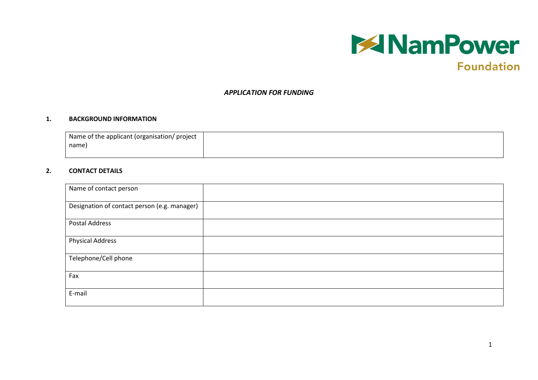

# **Foundation**

#### *APPLICATION FOR FUNDING*

#### **1. BACKGROUND INFORMATION**

| Name of the applicant (organisation/ project |  |
|----------------------------------------------|--|
| name)                                        |  |
|                                              |  |

#### **2. CONTACT DETAILS**

| Name of contact person                       |  |
|----------------------------------------------|--|
| Designation of contact person (e.g. manager) |  |
| Postal Address                               |  |
| <b>Physical Address</b>                      |  |
| Telephone/Cell phone                         |  |
| Fax                                          |  |
| E-mail                                       |  |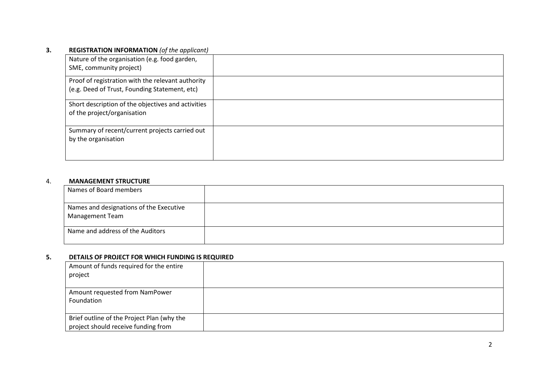## **3. REGISTRATION INFORMATION** *(of the applicant)*

| Nature of the organisation (e.g. food garden,<br>SME, community project)                           |  |
|----------------------------------------------------------------------------------------------------|--|
| Proof of registration with the relevant authority<br>(e.g. Deed of Trust, Founding Statement, etc) |  |
| Short description of the objectives and activities<br>of the project/organisation                  |  |
| Summary of recent/current projects carried out<br>by the organisation                              |  |

#### 4. **MANAGEMENT STRUCTURE**

| Names of Board members                                     |  |
|------------------------------------------------------------|--|
| Names and designations of the Executive<br>Management Team |  |
| Name and address of the Auditors                           |  |

### **5. DETAILS OF PROJECT FOR WHICH FUNDING IS REQUIRED**

| Amount of funds required for the entire<br>project                                |  |
|-----------------------------------------------------------------------------------|--|
| Amount requested from NamPower<br>Foundation                                      |  |
| Brief outline of the Project Plan (why the<br>project should receive funding from |  |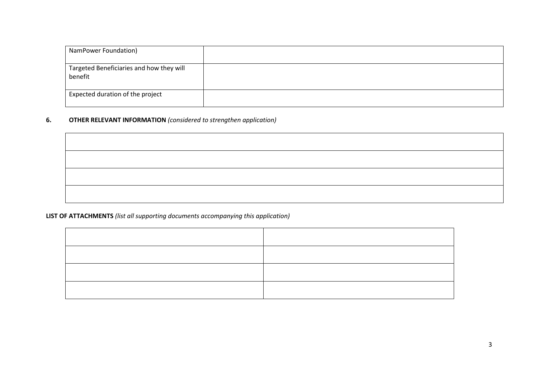| NamPower Foundation)                                |  |
|-----------------------------------------------------|--|
| Targeted Beneficiaries and how they will<br>benefit |  |
| Expected duration of the project                    |  |

# **6. OTHER RELEVANT INFORMATION** *(considered to strengthen application)*

# **LIST OF ATTACHMENTS** *(list all supporting documents accompanying this application)*